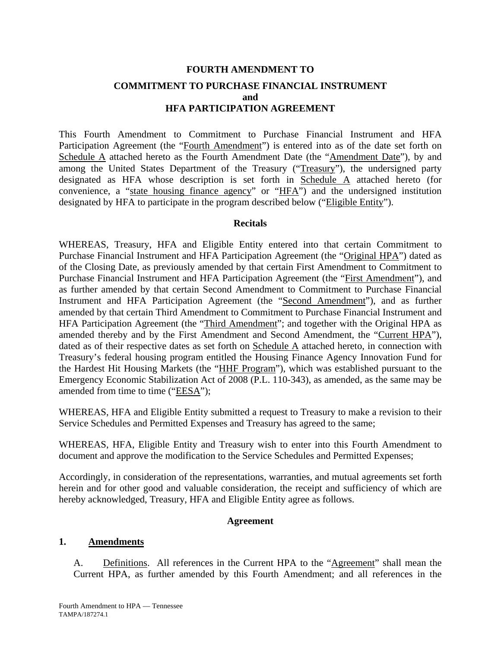# **FOURTH AMENDMENT TO COMMITMENT TO PURCHASE FINANCIAL INSTRUMENT and HFA PARTICIPATION AGREEMENT**

This Fourth Amendment to Commitment to Purchase Financial Instrument and HFA Participation Agreement (the "Fourth Amendment") is entered into as of the date set forth on Schedule A attached hereto as the Fourth Amendment Date (the "Amendment Date"), by and among the United States Department of the Treasury ("Treasury"), the undersigned party designated as HFA whose description is set forth in Schedule A attached hereto (for convenience, a "state housing finance agency" or "HFA") and the undersigned institution designated by HFA to participate in the program described below ("Eligible Entity").

## **Recitals**

WHEREAS, Treasury, HFA and Eligible Entity entered into that certain Commitment to Purchase Financial Instrument and HFA Participation Agreement (the "Original HPA") dated as of the Closing Date, as previously amended by that certain First Amendment to Commitment to Purchase Financial Instrument and HFA Participation Agreement (the "First Amendment"), and as further amended by that certain Second Amendment to Commitment to Purchase Financial Instrument and HFA Participation Agreement (the "Second Amendment"), and as further amended by that certain Third Amendment to Commitment to Purchase Financial Instrument and HFA Participation Agreement (the "Third Amendment"; and together with the Original HPA as amended thereby and by the First Amendment and Second Amendment, the "Current HPA"), dated as of their respective dates as set forth on Schedule A attached hereto, in connection with Treasury's federal housing program entitled the Housing Finance Agency Innovation Fund for the Hardest Hit Housing Markets (the "HHF Program"), which was established pursuant to the Emergency Economic Stabilization Act of 2008 (P.L. 110-343), as amended, as the same may be amended from time to time ("EESA");

WHEREAS, HFA and Eligible Entity submitted a request to Treasury to make a revision to their Service Schedules and Permitted Expenses and Treasury has agreed to the same;

WHEREAS, HFA, Eligible Entity and Treasury wish to enter into this Fourth Amendment to document and approve the modification to the Service Schedules and Permitted Expenses;

Accordingly, in consideration of the representations, warranties, and mutual agreements set forth herein and for other good and valuable consideration, the receipt and sufficiency of which are hereby acknowledged, Treasury, HFA and Eligible Entity agree as follows.

## **Agreement**

## **1. Amendments**

A. Definitions. All references in the Current HPA to the "Agreement" shall mean the Current HPA, as further amended by this Fourth Amendment; and all references in the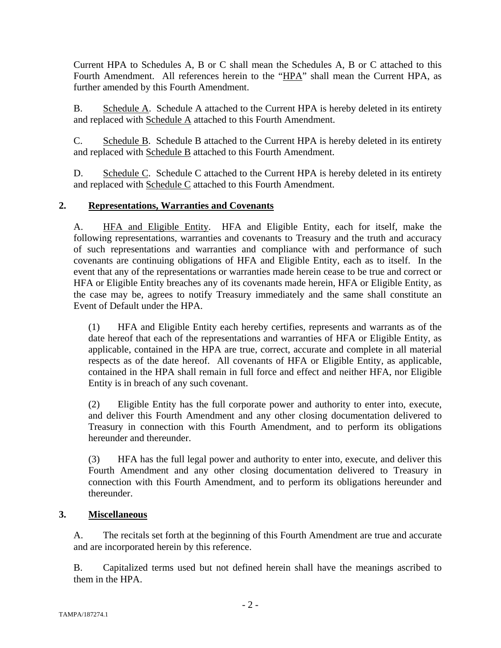Current HPA to Schedules A, B or C shall mean the Schedules A, B or C attached to this Fourth Amendment. All references herein to the "HPA" shall mean the Current HPA, as further amended by this Fourth Amendment.

B. Schedule A. Schedule A attached to the Current HPA is hereby deleted in its entirety and replaced with Schedule A attached to this Fourth Amendment.

C. Schedule B. Schedule B attached to the Current HPA is hereby deleted in its entirety and replaced with Schedule B attached to this Fourth Amendment.

D. Schedule C. Schedule C attached to the Current HPA is hereby deleted in its entirety and replaced with Schedule C attached to this Fourth Amendment.

## **2. Representations, Warranties and Covenants**

A. HFA and Eligible Entity. HFA and Eligible Entity, each for itself, make the following representations, warranties and covenants to Treasury and the truth and accuracy of such representations and warranties and compliance with and performance of such covenants are continuing obligations of HFA and Eligible Entity, each as to itself. In the event that any of the representations or warranties made herein cease to be true and correct or HFA or Eligible Entity breaches any of its covenants made herein, HFA or Eligible Entity, as the case may be, agrees to notify Treasury immediately and the same shall constitute an Event of Default under the HPA.

(1) HFA and Eligible Entity each hereby certifies, represents and warrants as of the date hereof that each of the representations and warranties of HFA or Eligible Entity, as applicable, contained in the HPA are true, correct, accurate and complete in all material respects as of the date hereof. All covenants of HFA or Eligible Entity, as applicable, contained in the HPA shall remain in full force and effect and neither HFA, nor Eligible Entity is in breach of any such covenant.

(2) Eligible Entity has the full corporate power and authority to enter into, execute, and deliver this Fourth Amendment and any other closing documentation delivered to Treasury in connection with this Fourth Amendment, and to perform its obligations hereunder and thereunder.

(3) HFA has the full legal power and authority to enter into, execute, and deliver this Fourth Amendment and any other closing documentation delivered to Treasury in connection with this Fourth Amendment, and to perform its obligations hereunder and thereunder.

## **3. Miscellaneous**

A. The recitals set forth at the beginning of this Fourth Amendment are true and accurate and are incorporated herein by this reference.

B. Capitalized terms used but not defined herein shall have the meanings ascribed to them in the HPA.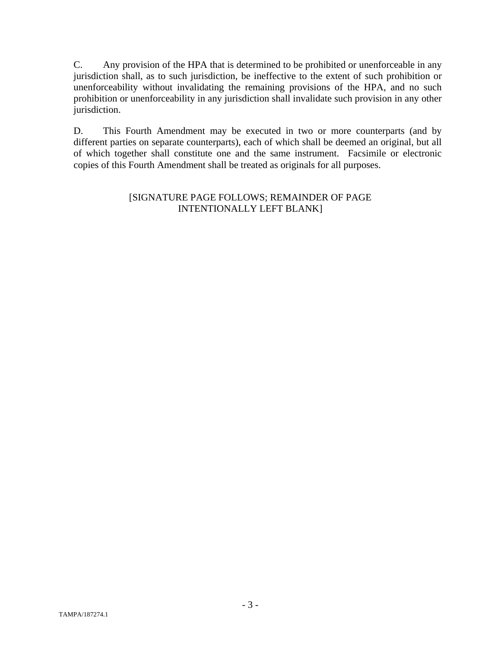C. Any provision of the HPA that is determined to be prohibited or unenforceable in any jurisdiction shall, as to such jurisdiction, be ineffective to the extent of such prohibition or unenforceability without invalidating the remaining provisions of the HPA, and no such prohibition or unenforceability in any jurisdiction shall invalidate such provision in any other jurisdiction.

D. This Fourth Amendment may be executed in two or more counterparts (and by different parties on separate counterparts), each of which shall be deemed an original, but all of which together shall constitute one and the same instrument. Facsimile or electronic copies of this Fourth Amendment shall be treated as originals for all purposes.

## [SIGNATURE PAGE FOLLOWS; REMAINDER OF PAGE INTENTIONALLY LEFT BLANK]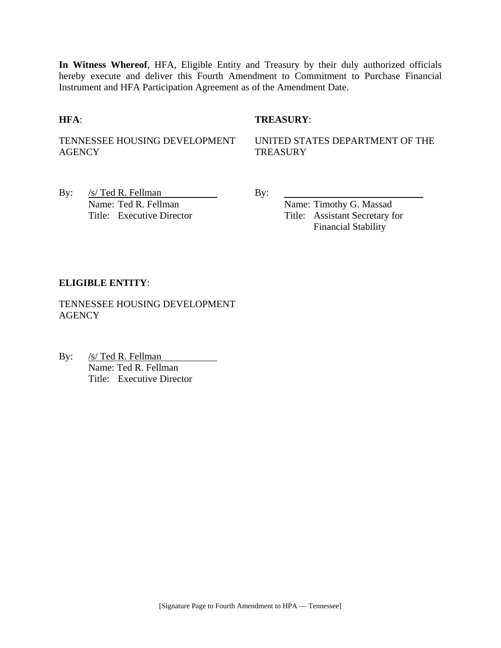**In Witness Whereof**, HFA, Eligible Entity and Treasury by their duly authorized officials hereby execute and deliver this Fourth Amendment to Commitment to Purchase Financial Instrument and HFA Participation Agreement as of the Amendment Date.

## **HFA**: **TREASURY**:

TENNESSEE HOUSING DEVELOPMENT **AGENCY** 

UNITED STATES DEPARTMENT OF THE **TREASURY** 

By:  $/s/\text{Ted R. Fellman}$  By: Name: Ted R. Fellman Name: Timothy G. Massad

Title: Executive Director Title: Assistant Secretary for Financial Stability

## **ELIGIBLE ENTITY**:

TENNESSEE HOUSING DEVELOPMENT **AGENCY** 

By: /s/ Ted R. Fellman Name: Ted R. Fellman Title: Executive Director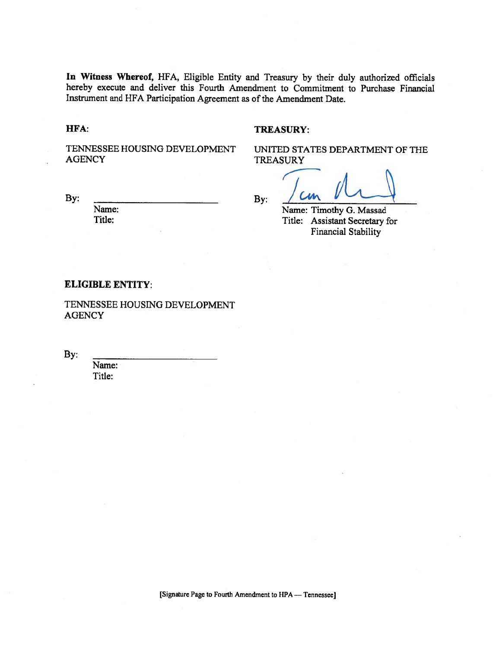In Witness Whereof, HFA, Eligible Entity and Treasury by their duly authorized officials hereby execute and deliver this Fourth Amendment to Commitment to Purchase Financial Instrument and HFA Participation Agreement as of the Amendment Date.

HFA:

#### **TREASURY:**

TENNESSEE HOUSING DEVELOPMENT **AGENCY** 

By:

Name: Title:

By:

UNITED STATES DEPARTMENT OF THE **TREASURY** 

Name: Timothy G. Massad Title: Assistant Secretary for

**Financial Stability** 

#### **ELIGIBLE ENTITY:**

TENNESSEE HOUSING DEVELOPMENT **AGENCY** 

By:

Name: Title: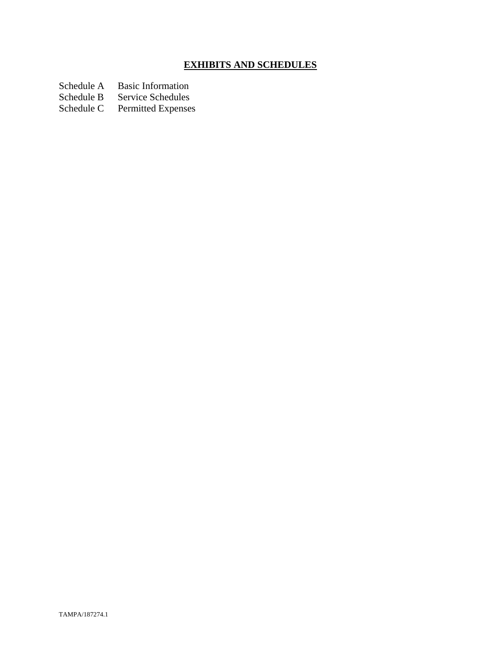# **EXHIBITS AND SCHEDULES**

Schedule A Basic Information<br>Schedule B Service Schedules

Schedule B Service Schedules<br>Schedule C Permitted Expenses

Permitted Expenses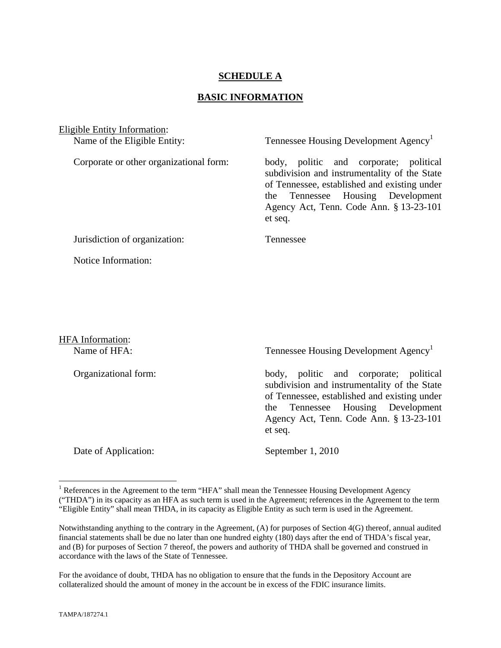## **SCHEDULE A**

#### **BASIC INFORMATION**

Eligible Entity Information: Name of the Eligible Entity: Tennessee Housing Development Agency<sup>1</sup> Corporate or other organizational form: body, politic and corporate; political subdivision and instrumentality of the State of Tennessee, established and existing under the Tennessee Housing Development Agency Act, Tenn. Code Ann. § 13-23-101 et seq. Jurisdiction of organization: Tennessee Notice Information:

HFA Information:

Name of HFA: Tennessee Housing Development Agency<sup>1</sup>

Organizational form: body, politic and corporate; political subdivision and instrumentality of the State of Tennessee, established and existing under the Tennessee Housing Development Agency Act, Tenn. Code Ann. § 13-23-101 et seq.

Date of Application: September 1, 2010

1

<sup>&</sup>lt;sup>1</sup> References in the Agreement to the term "HFA" shall mean the Tennessee Housing Development Agency ("THDA") in its capacity as an HFA as such term is used in the Agreement; references in the Agreement to the term "Eligible Entity" shall mean THDA, in its capacity as Eligible Entity as such term is used in the Agreement.

Notwithstanding anything to the contrary in the Agreement, (A) for purposes of Section 4(G) thereof, annual audited financial statements shall be due no later than one hundred eighty (180) days after the end of THDA's fiscal year, and (B) for purposes of Section 7 thereof, the powers and authority of THDA shall be governed and construed in accordance with the laws of the State of Tennessee.

For the avoidance of doubt, THDA has no obligation to ensure that the funds in the Depository Account are collateralized should the amount of money in the account be in excess of the FDIC insurance limits.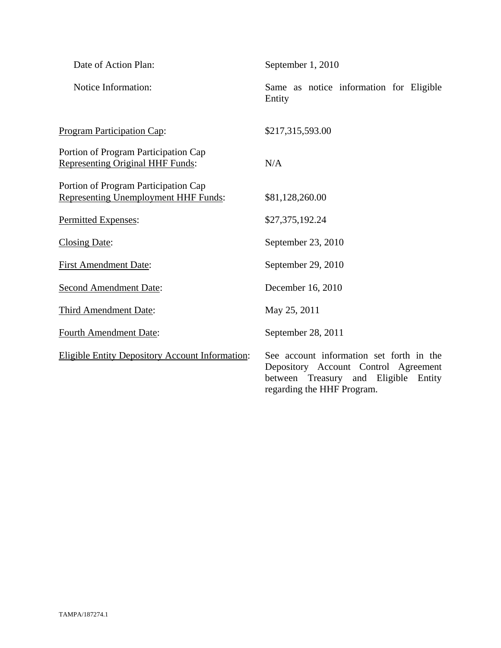| Date of Action Plan:                                                                | September 1, 2010                                                                                                                                         |
|-------------------------------------------------------------------------------------|-----------------------------------------------------------------------------------------------------------------------------------------------------------|
| Notice Information:                                                                 | Same as notice information for Eligible<br>Entity                                                                                                         |
| <b>Program Participation Cap:</b>                                                   | \$217,315,593.00                                                                                                                                          |
| Portion of Program Participation Cap<br><b>Representing Original HHF Funds:</b>     | N/A                                                                                                                                                       |
| Portion of Program Participation Cap<br><b>Representing Unemployment HHF Funds:</b> | \$81,128,260.00                                                                                                                                           |
| Permitted Expenses:                                                                 | \$27,375,192.24                                                                                                                                           |
| <b>Closing Date:</b>                                                                | September 23, 2010                                                                                                                                        |
| <b>First Amendment Date:</b>                                                        | September 29, 2010                                                                                                                                        |
| <b>Second Amendment Date:</b>                                                       | December 16, 2010                                                                                                                                         |
| Third Amendment Date:                                                               | May 25, 2011                                                                                                                                              |
| <b>Fourth Amendment Date:</b>                                                       | September 28, 2011                                                                                                                                        |
| <b>Eligible Entity Depository Account Information:</b>                              | See account information set forth in the<br>Depository Account Control Agreement<br>between Treasury and Eligible<br>Entity<br>regarding the HHF Program. |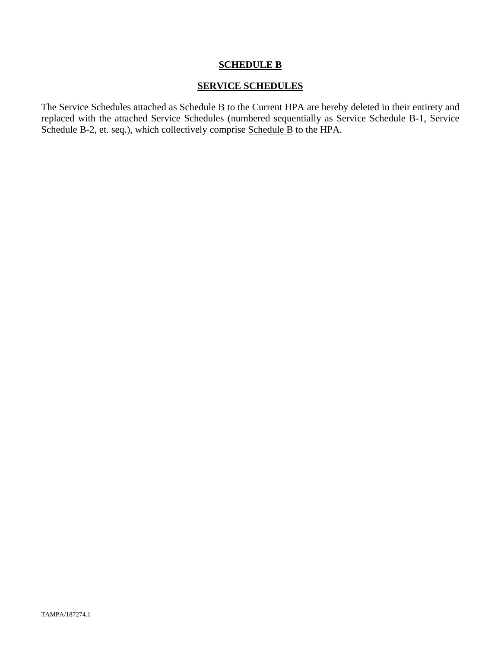## **SCHEDULE B**

## **SERVICE SCHEDULES**

The Service Schedules attached as Schedule B to the Current HPA are hereby deleted in their entirety and replaced with the attached Service Schedules (numbered sequentially as Service Schedule B-1, Service Schedule B-2, et. seq.), which collectively comprise Schedule B to the HPA.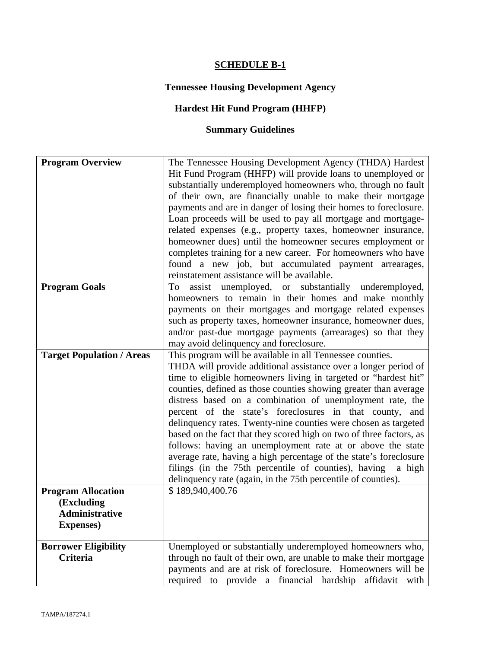# **SCHEDULE B-1**

# **Tennessee Housing Development Agency**

# **Hardest Hit Fund Program (HHFP)**

# **Summary Guidelines**

| <b>Program Overview</b>                                                               | The Tennessee Housing Development Agency (THDA) Hardest<br>Hit Fund Program (HHFP) will provide loans to unemployed or<br>substantially underemployed homeowners who, through no fault<br>of their own, are financially unable to make their mortgage<br>payments and are in danger of losing their homes to foreclosure.<br>Loan proceeds will be used to pay all mortgage and mortgage-<br>related expenses (e.g., property taxes, homeowner insurance,<br>homeowner dues) until the homeowner secures employment or<br>completes training for a new career. For homeowners who have<br>found a new job, but accumulated payment arrearages,<br>reinstatement assistance will be available.                                                                                                               |
|---------------------------------------------------------------------------------------|-------------------------------------------------------------------------------------------------------------------------------------------------------------------------------------------------------------------------------------------------------------------------------------------------------------------------------------------------------------------------------------------------------------------------------------------------------------------------------------------------------------------------------------------------------------------------------------------------------------------------------------------------------------------------------------------------------------------------------------------------------------------------------------------------------------|
| <b>Program Goals</b>                                                                  | assist unemployed, or substantially<br>To<br>underemployed,<br>homeowners to remain in their homes and make monthly<br>payments on their mortgages and mortgage related expenses<br>such as property taxes, homeowner insurance, homeowner dues,<br>and/or past-due mortgage payments (arrearages) so that they<br>may avoid delinquency and foreclosure.                                                                                                                                                                                                                                                                                                                                                                                                                                                   |
| <b>Target Population / Areas</b>                                                      | This program will be available in all Tennessee counties.<br>THDA will provide additional assistance over a longer period of<br>time to eligible homeowners living in targeted or "hardest hit"<br>counties, defined as those counties showing greater than average<br>distress based on a combination of unemployment rate, the<br>percent of the state's foreclosures in that county, and<br>delinquency rates. Twenty-nine counties were chosen as targeted<br>based on the fact that they scored high on two of three factors, as<br>follows: having an unemployment rate at or above the state<br>average rate, having a high percentage of the state's foreclosure<br>filings (in the 75th percentile of counties), having<br>a high<br>delinquency rate (again, in the 75th percentile of counties). |
| <b>Program Allocation</b><br>(Excluding<br><b>Administrative</b><br><b>Expenses</b> ) | \$189,940,400.76                                                                                                                                                                                                                                                                                                                                                                                                                                                                                                                                                                                                                                                                                                                                                                                            |
| <b>Borrower Eligibility</b><br><b>Criteria</b>                                        | Unemployed or substantially underemployed homeowners who,<br>through no fault of their own, are unable to make their mortgage<br>payments and are at risk of foreclosure. Homeowners will be<br>required to provide a financial hardship affidavit with                                                                                                                                                                                                                                                                                                                                                                                                                                                                                                                                                     |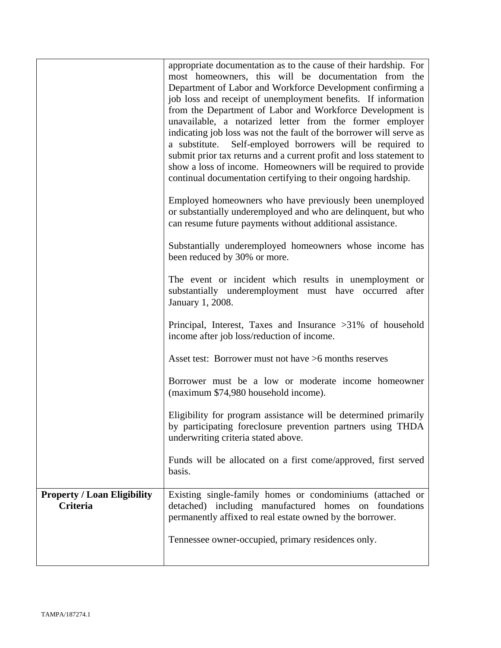|                                                       | appropriate documentation as to the cause of their hardship. For<br>most homeowners, this will be documentation from the<br>Department of Labor and Workforce Development confirming a<br>job loss and receipt of unemployment benefits. If information<br>from the Department of Labor and Workforce Development is<br>unavailable, a notarized letter from the former employer<br>indicating job loss was not the fault of the borrower will serve as<br>a substitute.<br>Self-employed borrowers will be required to<br>submit prior tax returns and a current profit and loss statement to<br>show a loss of income. Homeowners will be required to provide<br>continual documentation certifying to their ongoing hardship.<br>Employed homeowners who have previously been unemployed<br>or substantially underemployed and who are delinquent, but who<br>can resume future payments without additional assistance.<br>Substantially underemployed homeowners whose income has<br>been reduced by 30% or more.<br>The event or incident which results in unemployment or<br>substantially underemployment must have occurred after<br>January 1, 2008.<br>Principal, Interest, Taxes and Insurance >31% of household<br>income after job loss/reduction of income.<br>Asset test: Borrower must not have >6 months reserves<br>Borrower must be a low or moderate income homeowner<br>(maximum \$74,980 household income).<br>Eligibility for program assistance will be determined primarily<br>by participating foreclosure prevention partners using THDA<br>underwriting criteria stated above. |
|-------------------------------------------------------|------------------------------------------------------------------------------------------------------------------------------------------------------------------------------------------------------------------------------------------------------------------------------------------------------------------------------------------------------------------------------------------------------------------------------------------------------------------------------------------------------------------------------------------------------------------------------------------------------------------------------------------------------------------------------------------------------------------------------------------------------------------------------------------------------------------------------------------------------------------------------------------------------------------------------------------------------------------------------------------------------------------------------------------------------------------------------------------------------------------------------------------------------------------------------------------------------------------------------------------------------------------------------------------------------------------------------------------------------------------------------------------------------------------------------------------------------------------------------------------------------------------------------------------------------------------------------------------------------------|
|                                                       | Funds will be allocated on a first come/approved, first served<br>basis.                                                                                                                                                                                                                                                                                                                                                                                                                                                                                                                                                                                                                                                                                                                                                                                                                                                                                                                                                                                                                                                                                                                                                                                                                                                                                                                                                                                                                                                                                                                                   |
| <b>Property / Loan Eligibility</b><br><b>Criteria</b> | Existing single-family homes or condominiums (attached or<br>detached) including manufactured homes<br>foundations<br>on<br>permanently affixed to real estate owned by the borrower.<br>Tennessee owner-occupied, primary residences only.                                                                                                                                                                                                                                                                                                                                                                                                                                                                                                                                                                                                                                                                                                                                                                                                                                                                                                                                                                                                                                                                                                                                                                                                                                                                                                                                                                |
|                                                       |                                                                                                                                                                                                                                                                                                                                                                                                                                                                                                                                                                                                                                                                                                                                                                                                                                                                                                                                                                                                                                                                                                                                                                                                                                                                                                                                                                                                                                                                                                                                                                                                            |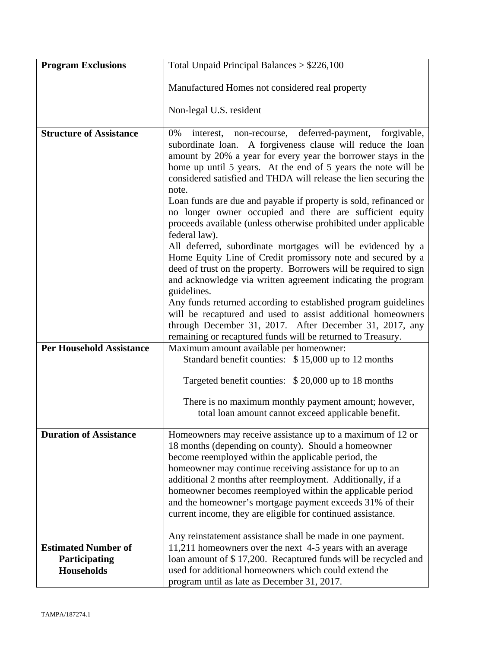| <b>Program Exclusions</b>       | Total Unpaid Principal Balances $> $226,100$                                                                                                                                                                                                                   |  |
|---------------------------------|----------------------------------------------------------------------------------------------------------------------------------------------------------------------------------------------------------------------------------------------------------------|--|
|                                 | Manufactured Homes not considered real property                                                                                                                                                                                                                |  |
|                                 |                                                                                                                                                                                                                                                                |  |
|                                 | Non-legal U.S. resident                                                                                                                                                                                                                                        |  |
| <b>Structure of Assistance</b>  | forgivable,<br>0%<br>deferred-payment,<br>interest,<br>non-recourse,<br>subordinate loan. A forgiveness clause will reduce the loan<br>amount by 20% a year for every year the borrower stays in the                                                           |  |
|                                 | home up until 5 years. At the end of 5 years the note will be<br>considered satisfied and THDA will release the lien securing the<br>note.                                                                                                                     |  |
|                                 | Loan funds are due and payable if property is sold, refinanced or<br>no longer owner occupied and there are sufficient equity<br>proceeds available (unless otherwise prohibited under applicable<br>federal law).                                             |  |
|                                 | All deferred, subordinate mortgages will be evidenced by a<br>Home Equity Line of Credit promissory note and secured by a<br>deed of trust on the property. Borrowers will be required to sign<br>and acknowledge via written agreement indicating the program |  |
|                                 | guidelines.<br>Any funds returned according to established program guidelines<br>will be recaptured and used to assist additional homeowners<br>through December 31, 2017. After December 31, 2017, any                                                        |  |
|                                 | remaining or recaptured funds will be returned to Treasury.                                                                                                                                                                                                    |  |
| <b>Per Household Assistance</b> | Maximum amount available per homeowner:<br>Standard benefit counties: \$15,000 up to 12 months                                                                                                                                                                 |  |
|                                 | Targeted benefit counties: \$20,000 up to 18 months                                                                                                                                                                                                            |  |
|                                 | There is no maximum monthly payment amount; however,<br>total loan amount cannot exceed applicable benefit.                                                                                                                                                    |  |
| <b>Duration of Assistance</b>   | Homeowners may receive assistance up to a maximum of 12 or<br>18 months (depending on county). Should a homeowner<br>become reemployed within the applicable period, the                                                                                       |  |
|                                 | homeowner may continue receiving assistance for up to an<br>additional 2 months after reemployment. Additionally, if a                                                                                                                                         |  |
|                                 | homeowner becomes reemployed within the applicable period                                                                                                                                                                                                      |  |
|                                 | and the homeowner's mortgage payment exceeds 31% of their<br>current income, they are eligible for continued assistance.                                                                                                                                       |  |
|                                 | Any reinstatement assistance shall be made in one payment.                                                                                                                                                                                                     |  |
| <b>Estimated Number of</b>      | 11,211 homeowners over the next 4-5 years with an average                                                                                                                                                                                                      |  |
| Participating                   | loan amount of \$17,200. Recaptured funds will be recycled and                                                                                                                                                                                                 |  |
| <b>Households</b>               | used for additional homeowners which could extend the                                                                                                                                                                                                          |  |
|                                 | program until as late as December 31, 2017.                                                                                                                                                                                                                    |  |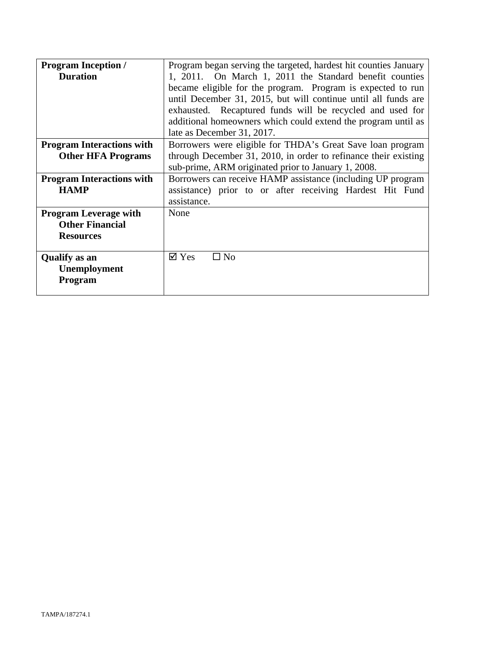| <b>Program Inception /</b>       | Program began serving the targeted, hardest hit counties January |  |
|----------------------------------|------------------------------------------------------------------|--|
| <b>Duration</b>                  | 1, 2011. On March 1, 2011 the Standard benefit counties          |  |
|                                  | became eligible for the program. Program is expected to run      |  |
|                                  | until December 31, 2015, but will continue until all funds are   |  |
|                                  | exhausted. Recaptured funds will be recycled and used for        |  |
|                                  | additional homeowners which could extend the program until as    |  |
|                                  | late as December 31, 2017.                                       |  |
| <b>Program Interactions with</b> | Borrowers were eligible for THDA's Great Save loan program       |  |
| <b>Other HFA Programs</b>        | through December 31, 2010, in order to refinance their existing  |  |
|                                  | sub-prime, ARM originated prior to January 1, 2008.              |  |
| <b>Program Interactions with</b> | Borrowers can receive HAMP assistance (including UP program      |  |
| <b>HAMP</b>                      | assistance) prior to or after receiving Hardest Hit Fund         |  |
|                                  | assistance.                                                      |  |
| <b>Program Leverage with</b>     | None                                                             |  |
| <b>Other Financial</b>           |                                                                  |  |
| <b>Resources</b>                 |                                                                  |  |
|                                  |                                                                  |  |
| <b>Qualify</b> as an             | $\boxtimes$ Yes<br>$\square$ No                                  |  |
| <b>Unemployment</b>              |                                                                  |  |
| Program                          |                                                                  |  |
|                                  |                                                                  |  |